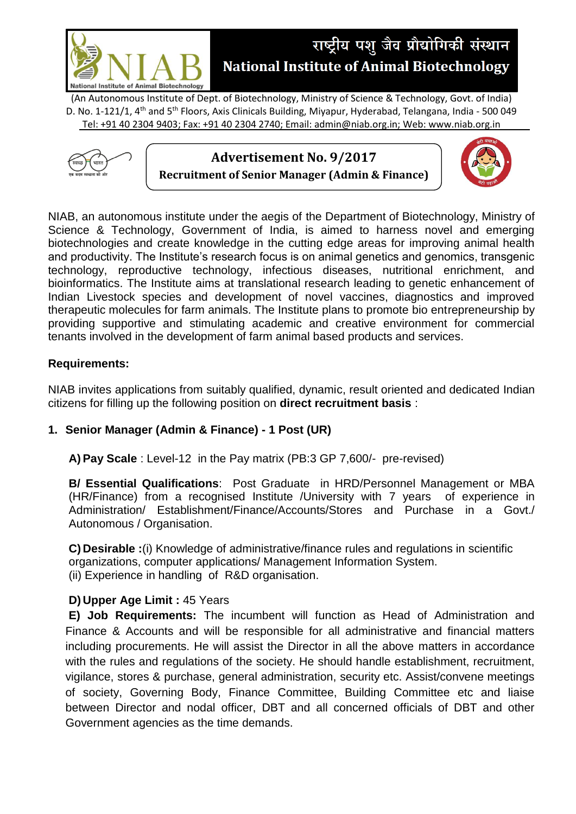

# राष्ट्रीय पशु जैव प्रौद्योगिकी संस्थान **National Institute of Animal Biotechnology**

(An Autonomous Institute of Dept. of Biotechnology, Ministry of Science & Technology, Govt. of India) D. No. 1-121/1, 4<sup>th</sup> and 5<sup>th</sup> Floors, Axis Clinicals Building, Miyapur, Hyderabad, Telangana, India - 500 049 Tel: +91 40 2304 9403; Fax: +91 40 2304 2740; Email: admin@niab.org.in; Web: www.niab.org.in





NIAB, an autonomous institute under the aegis of the Department of Biotechnology, Ministry of Science & Technology, Government of India, is aimed to harness novel and emerging biotechnologies and create knowledge in the cutting edge areas for improving animal health and productivity. The Institute's research focus is on animal genetics and genomics, transgenic technology, reproductive technology, infectious diseases, nutritional enrichment, and bioinformatics. The Institute aims at translational research leading to genetic enhancement of Indian Livestock species and development of novel vaccines, diagnostics and improved therapeutic molecules for farm animals. The Institute plans to promote bio entrepreneurship by providing supportive and stimulating academic and creative environment for commercial tenants involved in the development of farm animal based products and services.

### **Requirements:**

NIAB invites applications from suitably qualified, dynamic, result oriented and dedicated Indian citizens for filling up the following position on **direct recruitment basis** :

## **1. Senior Manager (Admin & Finance) - 1 Post (UR)**

**A) Pay Scale** : Level-12 in the Pay matrix (PB:3 GP 7,600/- pre-revised)

**B/ Essential Qualifications**: Post Graduate in HRD/Personnel Management or MBA (HR/Finance) from a recognised Institute /University with 7 years of experience in Administration/ Establishment/Finance/Accounts/Stores and Purchase in a Govt./ Autonomous / Organisation.

**C) Desirable :**(i) Knowledge of administrative/finance rules and regulations in scientific organizations, computer applications/ Management Information System. (ii) Experience in handling of R&D organisation.

#### **D) Upper Age Limit :** 45 Years

**E) Job Requirements:** The incumbent will function as Head of Administration and Finance & Accounts and will be responsible for all administrative and financial matters including procurements. He will assist the Director in all the above matters in accordance with the rules and regulations of the society. He should handle establishment, recruitment, vigilance, stores & purchase, general administration, security etc. Assist/convene meetings of society, Governing Body, Finance Committee, Building Committee etc and liaise between Director and nodal officer, DBT and all concerned officials of DBT and other Government agencies as the time demands.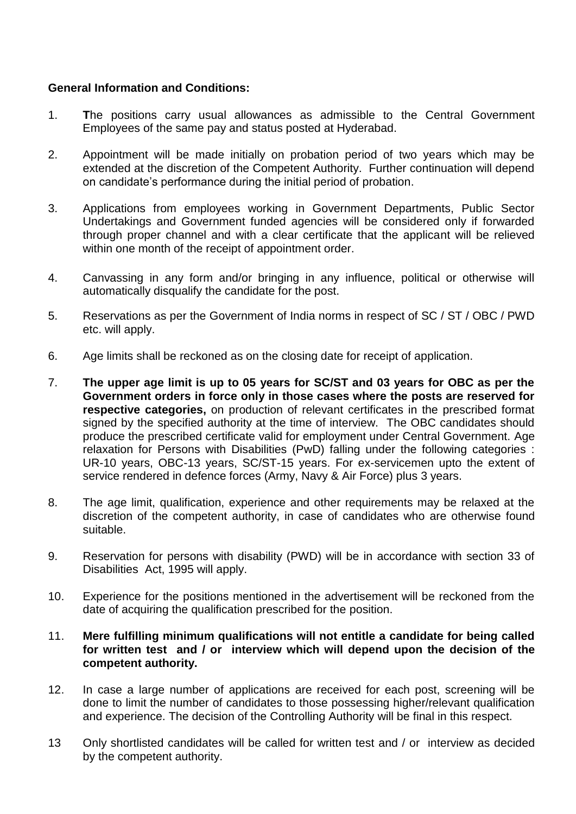#### **General Information and Conditions:**

- 1. **T**he positions carry usual allowances as admissible to the Central Government Employees of the same pay and status posted at Hyderabad.
- 2. Appointment will be made initially on probation period of two years which may be extended at the discretion of the Competent Authority. Further continuation will depend on candidate's performance during the initial period of probation.
- 3. Applications from employees working in Government Departments, Public Sector Undertakings and Government funded agencies will be considered only if forwarded through proper channel and with a clear certificate that the applicant will be relieved within one month of the receipt of appointment order.
- 4. Canvassing in any form and/or bringing in any influence, political or otherwise will automatically disqualify the candidate for the post.
- 5. Reservations as per the Government of India norms in respect of SC / ST / OBC / PWD etc. will apply.
- 6. Age limits shall be reckoned as on the closing date for receipt of application.
- 7. **The upper age limit is up to 05 years for SC/ST and 03 years for OBC as per the Government orders in force only in those cases where the posts are reserved for respective categories,** on production of relevant certificates in the prescribed format signed by the specified authority at the time of interview. The OBC candidates should produce the prescribed certificate valid for employment under Central Government. Age relaxation for Persons with Disabilities (PwD) falling under the following categories : UR-10 years, OBC-13 years, SC/ST-15 years. For ex-servicemen upto the extent of service rendered in defence forces (Army, Navy & Air Force) plus 3 years.
- 8. The age limit, qualification, experience and other requirements may be relaxed at the discretion of the competent authority, in case of candidates who are otherwise found suitable.
- 9. Reservation for persons with disability (PWD) will be in accordance with section 33 of Disabilities Act, 1995 will apply.
- 10. Experience for the positions mentioned in the advertisement will be reckoned from the date of acquiring the qualification prescribed for the position.
- 11. **Mere fulfilling minimum qualifications will not entitle a candidate for being called for written test and / or interview which will depend upon the decision of the competent authority.**
- 12. In case a large number of applications are received for each post, screening will be done to limit the number of candidates to those possessing higher/relevant qualification and experience. The decision of the Controlling Authority will be final in this respect.
- 13 Only shortlisted candidates will be called for written test and / or interview as decided by the competent authority.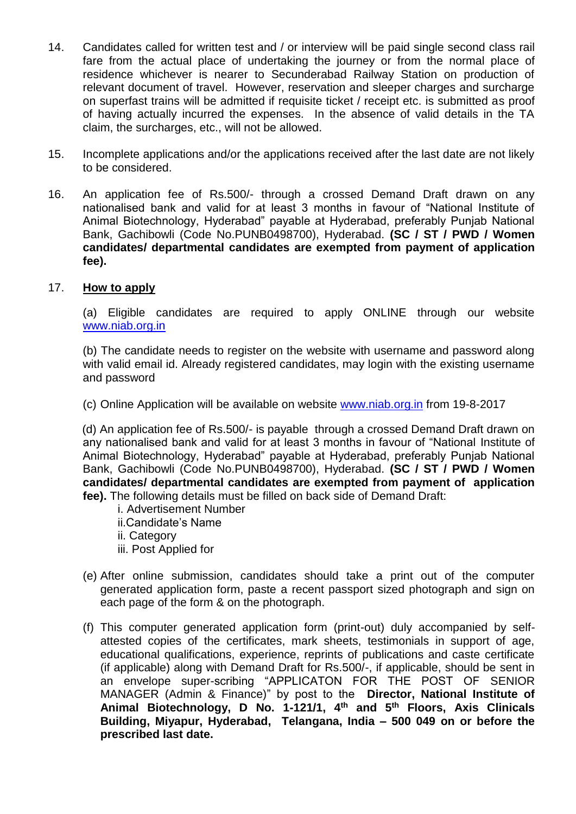- 14. Candidates called for written test and / or interview will be paid single second class rail fare from the actual place of undertaking the journey or from the normal place of residence whichever is nearer to Secunderabad Railway Station on production of relevant document of travel. However, reservation and sleeper charges and surcharge on superfast trains will be admitted if requisite ticket / receipt etc. is submitted as proof of having actually incurred the expenses. In the absence of valid details in the TA claim, the surcharges, etc., will not be allowed.
- 15. Incomplete applications and/or the applications received after the last date are not likely to be considered.
- 16. An application fee of Rs.500/- through a crossed Demand Draft drawn on any nationalised bank and valid for at least 3 months in favour of "National Institute of Animal Biotechnology, Hyderabad" payable at Hyderabad, preferably Punjab National Bank, Gachibowli (Code No.PUNB0498700), Hyderabad. **(SC / ST / PWD / Women candidates/ departmental candidates are exempted from payment of application fee).**

#### 17. **How to apply**

(a) Eligible candidates are required to apply ONLINE through our website [www.niab.org.in](http://www.niab.org.in/)

(b) The candidate needs to register on the website with username and password along with valid email id. Already registered candidates, may login with the existing username and password

(c) Online Application will be available on website [www.niab.org.in](http://www.niab.org.in/) from 19-8-2017

(d) An application fee of Rs.500/- is payable through a crossed Demand Draft drawn on any nationalised bank and valid for at least 3 months in favour of "National Institute of Animal Biotechnology, Hyderabad" payable at Hyderabad, preferably Punjab National Bank, Gachibowli (Code No.PUNB0498700), Hyderabad. **(SC / ST / PWD / Women candidates/ departmental candidates are exempted from payment of application fee).** The following details must be filled on back side of Demand Draft:

- i. Advertisement Number
- ii.Candidate's Name
- ii. Category
- iii. Post Applied for
- (e) After online submission, candidates should take a print out of the computer generated application form, paste a recent passport sized photograph and sign on each page of the form & on the photograph.
- (f) This computer generated application form (print-out) duly accompanied by selfattested copies of the certificates, mark sheets, testimonials in support of age, educational qualifications, experience, reprints of publications and caste certificate (if applicable) along with Demand Draft for Rs.500/-, if applicable, should be sent in an envelope super-scribing "APPLICATON FOR THE POST OF SENIOR MANAGER (Admin & Finance)" by post to the **Director, National Institute of Animal Biotechnology, D No. 1-121/1, 4th and 5th Floors, Axis Clinicals Building, Miyapur, Hyderabad, Telangana, India – 500 049 on or before the prescribed last date.**